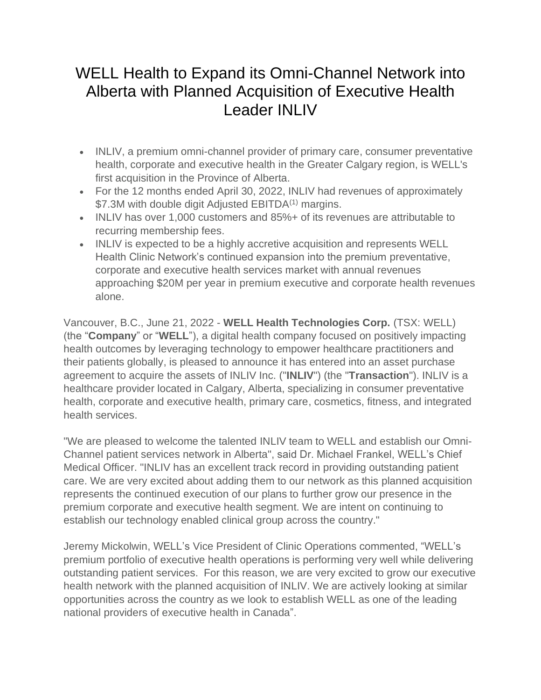# WELL Health to Expand its Omni-Channel Network into Alberta with Planned Acquisition of Executive Health Leader INLIV

- INLIV, a premium omni-channel provider of primary care, consumer preventative health, corporate and executive health in the Greater Calgary region, is WELL's first acquisition in the Province of Alberta.
- For the 12 months ended April 30, 2022, INLIV had revenues of approximately \$7.3M with double digit Adjusted EBITDA<sup>(1)</sup> margins.
- INLIV has over 1,000 customers and 85%+ of its revenues are attributable to recurring membership fees.
- INLIV is expected to be a highly accretive acquisition and represents WELL Health Clinic Network's continued expansion into the premium preventative, corporate and executive health services market with annual revenues approaching \$20M per year in premium executive and corporate health revenues alone.

Vancouver, B.C., June 21, 2022 - **WELL Health Technologies Corp.** (TSX: WELL) (the "**Company**" or "**WELL**"), a digital health company focused on positively impacting health outcomes by leveraging technology to empower healthcare practitioners and their patients globally, is pleased to announce it has entered into an asset purchase agreement to acquire the assets of INLIV Inc. ("**INLIV**") (the "**Transaction**"). INLIV is a healthcare provider located in Calgary, Alberta, specializing in consumer preventative health, corporate and executive health, primary care, cosmetics, fitness, and integrated health services.

"We are pleased to welcome the talented INLIV team to WELL and establish our Omni-Channel patient services network in Alberta", said Dr. Michael Frankel, WELL's Chief Medical Officer. "INLIV has an excellent track record in providing outstanding patient care. We are very excited about adding them to our network as this planned acquisition represents the continued execution of our plans to further grow our presence in the premium corporate and executive health segment. We are intent on continuing to establish our technology enabled clinical group across the country."

Jeremy Mickolwin, WELL's Vice President of Clinic Operations commented, "WELL's premium portfolio of executive health operations is performing very well while delivering outstanding patient services. For this reason, we are very excited to grow our executive health network with the planned acquisition of INLIV. We are actively looking at similar opportunities across the country as we look to establish WELL as one of the leading national providers of executive health in Canada".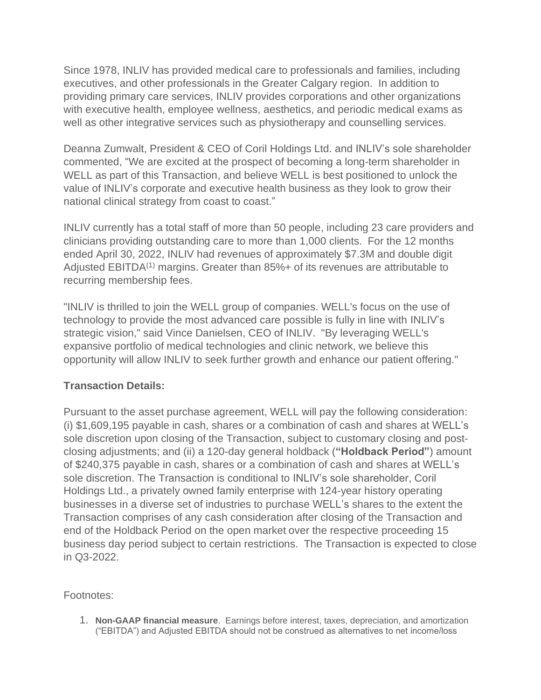Since 1978, INLIV has provided medical care to professionals and families, including executives, and other professionals in the Greater Calgary region. In addition to providing primary care services, INLIV provides corporations and other organizations with executive health, employee wellness, aesthetics, and periodic medical exams as well as other integrative services such as physiotherapy and counselling services.

Deanna Zumwalt, President & CEO of Coril Holdings Ltd. and INLIV's sole shareholder commented, "We are excited at the prospect of becoming a long-term shareholder in WELL as part of this Transaction, and believe WELL is best positioned to unlock the value of INLIV's corporate and executive health business as they look to grow their national clinical strategy from coast to coast."

INLIV currently has a total staff of more than 50 people, including 23 care providers and clinicians providing outstanding care to more than 1,000 clients. For the 12 months ended April 30, 2022, INLIV had revenues of approximately \$7.3M and double digit Adjusted EBITDA<sup>(1)</sup> margins. Greater than 85%+ of its revenues are attributable to recurring membership fees.

"INLIV is thrilled to join the WELL group of companies. WELL's focus on the use of technology to provide the most advanced care possible is fully in line with INLIV's strategic vision," said Vince Danielsen, CEO of INLIV. "By leveraging WELL's expansive portfolio of medical technologies and clinic network, we believe this opportunity will allow INLIV to seek further growth and enhance our patient offering."

## **Transaction Details:**

Pursuant to the asset purchase agreement, WELL will pay the following consideration: (i) \$1,609,195 payable in cash, shares or a combination of cash and shares at WELL's sole discretion upon closing of the Transaction, subject to customary closing and postclosing adjustments; and (ii) a 120-day general holdback (**"Holdback Period"**) amount of \$240,375 payable in cash, shares or a combination of cash and shares at WELL's sole discretion. The Transaction is conditional to INLIV's sole shareholder, Coril Holdings Ltd., a privately owned family enterprise with 124-year history operating businesses in a diverse set of industries to purchase WELL's shares to the extent the Transaction comprises of any cash consideration after closing of the Transaction and end of the Holdback Period on the open market over the respective proceeding 15 business day period subject to certain restrictions. The Transaction is expected to close in Q3-2022.

Footnotes:

1. **Non-GAAP financial measure**. Earnings before interest, taxes, depreciation, and amortization ("EBITDA") and Adjusted EBITDA should not be construed as alternatives to net income/loss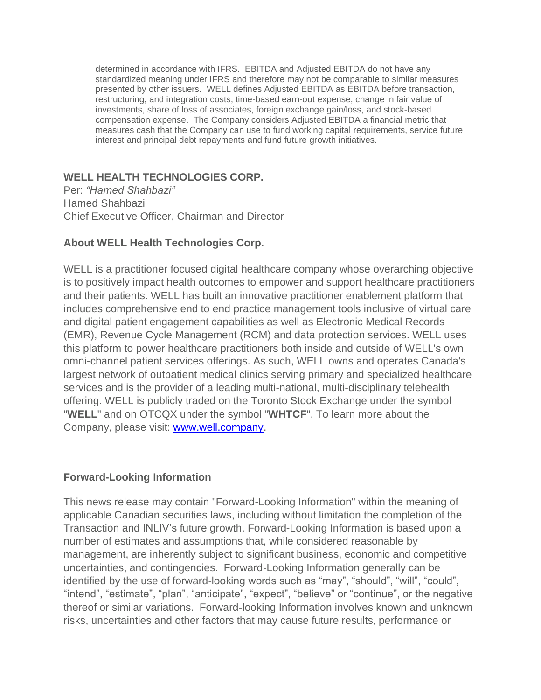determined in accordance with IFRS. EBITDA and Adjusted EBITDA do not have any standardized meaning under IFRS and therefore may not be comparable to similar measures presented by other issuers. WELL defines Adjusted EBITDA as EBITDA before transaction, restructuring, and integration costs, time-based earn-out expense, change in fair value of investments, share of loss of associates, foreign exchange gain/loss, and stock-based compensation expense. The Company considers Adjusted EBITDA a financial metric that measures cash that the Company can use to fund working capital requirements, service future interest and principal debt repayments and fund future growth initiatives.

## **WELL HEALTH TECHNOLOGIES CORP.**

Per: *"Hamed Shahbazi"* Hamed Shahbazi Chief Executive Officer, Chairman and Director

## **About WELL Health Technologies Corp.**

WELL is a practitioner focused digital healthcare company whose overarching objective is to positively impact health outcomes to empower and support healthcare practitioners and their patients. WELL has built an innovative practitioner enablement platform that includes comprehensive end to end practice management tools inclusive of virtual care and digital patient engagement capabilities as well as Electronic Medical Records (EMR), Revenue Cycle Management (RCM) and data protection services. WELL uses this platform to power healthcare practitioners both inside and outside of WELL's own omni-channel patient services offerings. As such, WELL owns and operates Canada's largest network of outpatient medical clinics serving primary and specialized healthcare services and is the provider of a leading multi-national, multi-disciplinary telehealth offering. WELL is publicly traded on the Toronto Stock Exchange under the symbol "**WELL**" and on OTCQX under the symbol "**WHTCF**". To learn more about the Company, please visit: www.well.company.

#### **Forward-Looking Information**

This news release may contain "Forward-Looking Information" within the meaning of applicable Canadian securities laws, including without limitation the completion of the Transaction and INLIV's future growth. Forward-Looking Information is based upon a number of estimates and assumptions that, while considered reasonable by management, are inherently subject to significant business, economic and competitive uncertainties, and contingencies. Forward-Looking Information generally can be identified by the use of forward-looking words such as "may", "should", "will", "could", "intend", "estimate", "plan", "anticipate", "expect", "believe" or "continue", or the negative thereof or similar variations. Forward-looking Information involves known and unknown risks, uncertainties and other factors that may cause future results, performance or